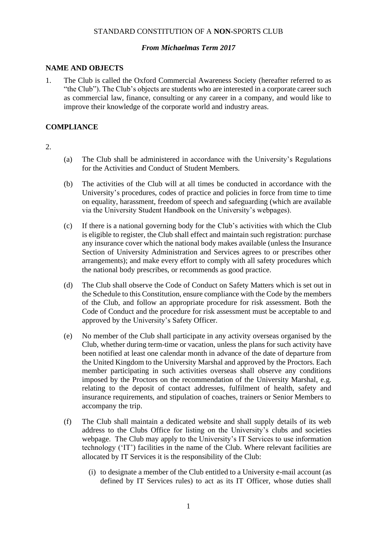### STANDARD CONSTITUTION OF A **NON-**SPORTS CLUB

### *From Michaelmas Term 2017*

### **NAME AND OBJECTS**

1. The Club is called the Oxford Commercial Awareness Society (hereafter referred to as "the Club"). The Club's objects are students who are interested in a corporate career such as commercial law, finance, consulting or any career in a company, and would like to improve their knowledge of the corporate world and industry areas.

### **COMPLIANCE**

#### 2.

- (a) The Club shall be administered in accordance with the University's Regulations for the Activities and Conduct of Student Members.
- (b) The activities of the Club will at all times be conducted in accordance with the University's procedures, codes of practice and policies in force from time to time on equality, harassment, freedom of speech and safeguarding (which are available via the University Student Handbook on the University's webpages).
- (c) If there is a national governing body for the Club's activities with which the Club is eligible to register, the Club shall effect and maintain such registration: purchase any insurance cover which the national body makes available (unless the Insurance Section of University Administration and Services agrees to or prescribes other arrangements); and make every effort to comply with all safety procedures which the national body prescribes, or recommends as good practice.
- (d) The Club shall observe the Code of Conduct on Safety Matters which is set out in the Schedule to this Constitution, ensure compliance with the Code by the members of the Club, and follow an appropriate procedure for risk assessment. Both the Code of Conduct and the procedure for risk assessment must be acceptable to and approved by the University's Safety Officer.
- (e) No member of the Club shall participate in any activity overseas organised by the Club, whether during term-time or vacation, unless the plans for such activity have been notified at least one calendar month in advance of the date of departure from the United Kingdom to the University Marshal and approved by the Proctors. Each member participating in such activities overseas shall observe any conditions imposed by the Proctors on the recommendation of the University Marshal, e.g. relating to the deposit of contact addresses, fulfilment of health, safety and insurance requirements, and stipulation of coaches, trainers or Senior Members to accompany the trip.
- (f) The Club shall maintain a dedicated website and shall supply details of its web address to the Clubs Office for listing on the University's clubs and societies webpage. The Club may apply to the University's IT Services to use information technology ('IT') facilities in the name of the Club. Where relevant facilities are allocated by IT Services it is the responsibility of the Club:
	- (i) to designate a member of the Club entitled to a University e-mail account (as defined by IT Services rules) to act as its IT Officer, whose duties shall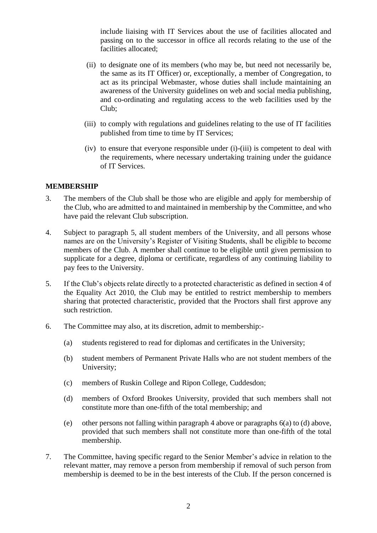include liaising with IT Services about the use of facilities allocated and passing on to the successor in office all records relating to the use of the facilities allocated;

- (ii) to designate one of its members (who may be, but need not necessarily be, the same as its IT Officer) or, exceptionally, a member of Congregation, to act as its principal Webmaster, whose duties shall include maintaining an awareness of the University guidelines on web and social media publishing, and co-ordinating and regulating access to the web facilities used by the Club;
- (iii) to comply with regulations and guidelines relating to the use of IT facilities published from time to time by IT Services;
- (iv) to ensure that everyone responsible under (i)-(iii) is competent to deal with the requirements, where necessary undertaking training under the guidance of IT Services.

### **MEMBERSHIP**

- 3. The members of the Club shall be those who are eligible and apply for membership of the Club, who are admitted to and maintained in membership by the Committee, and who have paid the relevant Club subscription.
- 4. Subject to paragraph 5, all student members of the University, and all persons whose names are on the University's Register of Visiting Students, shall be eligible to become members of the Club. A member shall continue to be eligible until given permission to supplicate for a degree, diploma or certificate, regardless of any continuing liability to pay fees to the University.
- 5. If the Club's objects relate directly to a protected characteristic as defined in section 4 of the Equality Act 2010, the Club may be entitled to restrict membership to members sharing that protected characteristic, provided that the Proctors shall first approve any such restriction.
- 6. The Committee may also, at its discretion, admit to membership:-
	- (a) students registered to read for diplomas and certificates in the University;
	- (b) student members of Permanent Private Halls who are not student members of the University;
	- (c) members of Ruskin College and Ripon College, Cuddesdon;
	- (d) members of Oxford Brookes University, provided that such members shall not constitute more than one-fifth of the total membership; and
	- (e) other persons not falling within paragraph 4 above or paragraphs 6(a) to (d) above, provided that such members shall not constitute more than one-fifth of the total membership.
- 7. The Committee, having specific regard to the Senior Member's advice in relation to the relevant matter, may remove a person from membership if removal of such person from membership is deemed to be in the best interests of the Club. If the person concerned is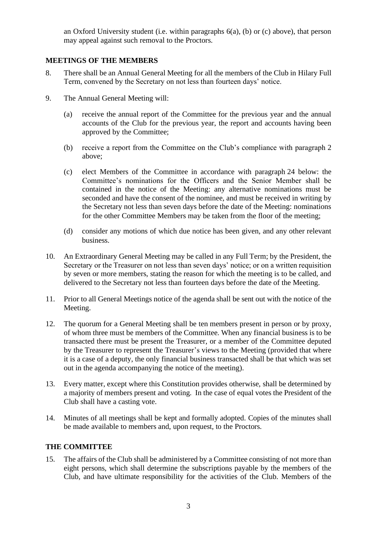an Oxford University student (i.e. within paragraphs 6(a), (b) or (c) above), that person may appeal against such removal to the Proctors.

# **MEETINGS OF THE MEMBERS**

- 8. There shall be an Annual General Meeting for all the members of the Club in Hilary Full Term, convened by the Secretary on not less than fourteen days' notice.
- 9. The Annual General Meeting will:
	- (a) receive the annual report of the Committee for the previous year and the annual accounts of the Club for the previous year, the report and accounts having been approved by the Committee;
	- (b) receive a report from the Committee on the Club's compliance with paragraph 2 above;
	- (c) elect Members of the Committee in accordance with paragraph 24 below: the Committee's nominations for the Officers and the Senior Member shall be contained in the notice of the Meeting: any alternative nominations must be seconded and have the consent of the nominee, and must be received in writing by the Secretary not less than seven days before the date of the Meeting: nominations for the other Committee Members may be taken from the floor of the meeting;
	- (d) consider any motions of which due notice has been given, and any other relevant business.
- 10. An Extraordinary General Meeting may be called in any Full Term; by the President, the Secretary or the Treasurer on not less than seven days' notice; or on a written requisition by seven or more members, stating the reason for which the meeting is to be called, and delivered to the Secretary not less than fourteen days before the date of the Meeting.
- 11. Prior to all General Meetings notice of the agenda shall be sent out with the notice of the Meeting.
- 12. The quorum for a General Meeting shall be ten members present in person or by proxy, of whom three must be members of the Committee. When any financial business is to be transacted there must be present the Treasurer, or a member of the Committee deputed by the Treasurer to represent the Treasurer's views to the Meeting (provided that where it is a case of a deputy, the only financial business transacted shall be that which was set out in the agenda accompanying the notice of the meeting).
- 13. Every matter, except where this Constitution provides otherwise, shall be determined by a majority of members present and voting. In the case of equal votes the President of the Club shall have a casting vote.
- 14. Minutes of all meetings shall be kept and formally adopted. Copies of the minutes shall be made available to members and, upon request, to the Proctors.

# **THE COMMITTEE**

15. The affairs of the Club shall be administered by a Committee consisting of not more than eight persons, which shall determine the subscriptions payable by the members of the Club, and have ultimate responsibility for the activities of the Club. Members of the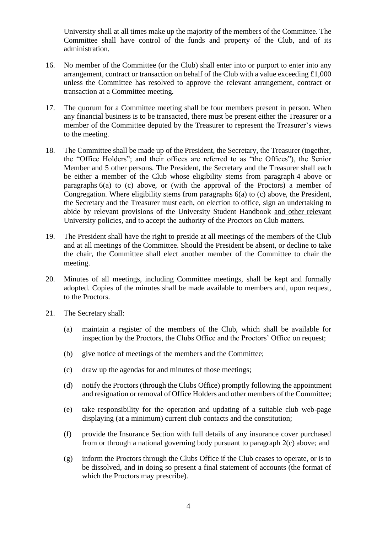University shall at all times make up the majority of the members of the Committee. The Committee shall have control of the funds and property of the Club, and of its administration.

- 16. No member of the Committee (or the Club) shall enter into or purport to enter into any arrangement, contract or transaction on behalf of the Club with a value exceeding £1,000 unless the Committee has resolved to approve the relevant arrangement, contract or transaction at a Committee meeting.
- 17. The quorum for a Committee meeting shall be four members present in person. When any financial business is to be transacted, there must be present either the Treasurer or a member of the Committee deputed by the Treasurer to represent the Treasurer's views to the meeting.
- 18. The Committee shall be made up of the President, the Secretary, the Treasurer (together, the "Office Holders"; and their offices are referred to as "the Offices"), the Senior Member and 5 other persons. The President, the Secretary and the Treasurer shall each be either a member of the Club whose eligibility stems from paragraph 4 above or paragraphs 6(a) to (c) above, or (with the approval of the Proctors) a member of Congregation. Where eligibility stems from paragraphs 6(a) to (c) above, the President, the Secretary and the Treasurer must each, on election to office, sign an undertaking to abide by relevant provisions of the University Student Handbook and other relevant University policies, and to accept the authority of the Proctors on Club matters.
- 19. The President shall have the right to preside at all meetings of the members of the Club and at all meetings of the Committee. Should the President be absent, or decline to take the chair, the Committee shall elect another member of the Committee to chair the meeting.
- 20. Minutes of all meetings, including Committee meetings, shall be kept and formally adopted. Copies of the minutes shall be made available to members and, upon request, to the Proctors.
- 21. The Secretary shall:
	- (a) maintain a register of the members of the Club, which shall be available for inspection by the Proctors, the Clubs Office and the Proctors' Office on request;
	- (b) give notice of meetings of the members and the Committee;
	- (c) draw up the agendas for and minutes of those meetings;
	- (d) notify the Proctors (through the Clubs Office) promptly following the appointment and resignation or removal of Office Holders and other members of the Committee;
	- (e) take responsibility for the operation and updating of a suitable club web-page displaying (at a minimum) current club contacts and the constitution;
	- (f) provide the Insurance Section with full details of any insurance cover purchased from or through a national governing body pursuant to paragraph 2(c) above; and
	- (g) inform the Proctors through the Clubs Office if the Club ceases to operate, or is to be dissolved, and in doing so present a final statement of accounts (the format of which the Proctors may prescribe).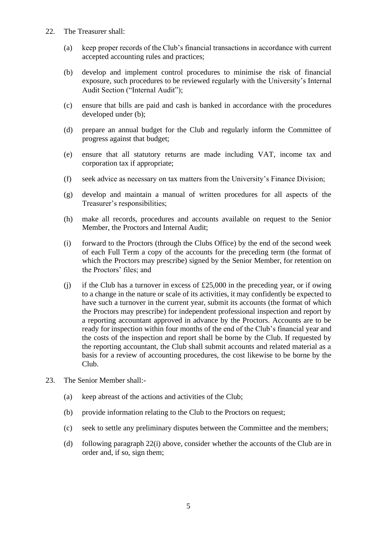- 22. The Treasurer shall:
	- (a) keep proper records of the Club's financial transactions in accordance with current accepted accounting rules and practices;
	- (b) develop and implement control procedures to minimise the risk of financial exposure, such procedures to be reviewed regularly with the University's Internal Audit Section ("Internal Audit");
	- (c) ensure that bills are paid and cash is banked in accordance with the procedures developed under (b);
	- (d) prepare an annual budget for the Club and regularly inform the Committee of progress against that budget;
	- (e) ensure that all statutory returns are made including VAT, income tax and corporation tax if appropriate;
	- (f) seek advice as necessary on tax matters from the University's Finance Division;
	- (g) develop and maintain a manual of written procedures for all aspects of the Treasurer's responsibilities;
	- (h) make all records, procedures and accounts available on request to the Senior Member, the Proctors and Internal Audit;
	- (i) forward to the Proctors (through the Clubs Office) by the end of the second week of each Full Term a copy of the accounts for the preceding term (the format of which the Proctors may prescribe) signed by the Senior Member, for retention on the Proctors' files; and
	- (i) if the Club has a turnover in excess of  $£25,000$  in the preceding year, or if owing to a change in the nature or scale of its activities, it may confidently be expected to have such a turnover in the current year, submit its accounts (the format of which the Proctors may prescribe) for independent professional inspection and report by a reporting accountant approved in advance by the Proctors. Accounts are to be ready for inspection within four months of the end of the Club's financial year and the costs of the inspection and report shall be borne by the Club. If requested by the reporting accountant, the Club shall submit accounts and related material as a basis for a review of accounting procedures, the cost likewise to be borne by the Club.
- 23. The Senior Member shall:-
	- (a) keep abreast of the actions and activities of the Club;
	- (b) provide information relating to the Club to the Proctors on request;
	- (c) seek to settle any preliminary disputes between the Committee and the members;
	- (d) following paragraph 22(i) above, consider whether the accounts of the Club are in order and, if so, sign them;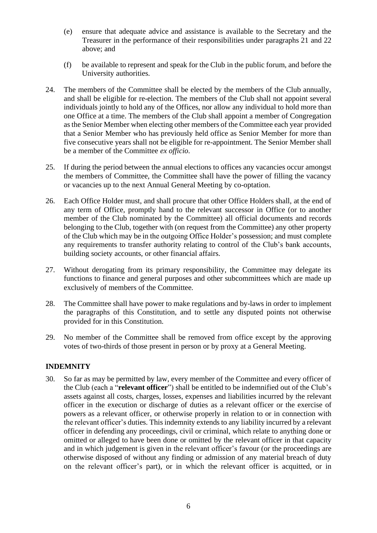- (e) ensure that adequate advice and assistance is available to the Secretary and the Treasurer in the performance of their responsibilities under paragraphs 21 and 22 above; and
- (f) be available to represent and speak for the Club in the public forum, and before the University authorities.
- 24. The members of the Committee shall be elected by the members of the Club annually, and shall be eligible for re-election. The members of the Club shall not appoint several individuals jointly to hold any of the Offices, nor allow any individual to hold more than one Office at a time. The members of the Club shall appoint a member of Congregation as the Senior Member when electing other members of the Committee each year provided that a Senior Member who has previously held office as Senior Member for more than five consecutive years shall not be eligible for re-appointment. The Senior Member shall be a member of the Committee *ex officio*.
- 25. If during the period between the annual elections to offices any vacancies occur amongst the members of Committee, the Committee shall have the power of filling the vacancy or vacancies up to the next Annual General Meeting by co-optation.
- 26. Each Office Holder must, and shall procure that other Office Holders shall, at the end of any term of Office, promptly hand to the relevant successor in Office (or to another member of the Club nominated by the Committee) all official documents and records belonging to the Club, together with (on request from the Committee) any other property of the Club which may be in the outgoing Office Holder's possession; and must complete any requirements to transfer authority relating to control of the Club's bank accounts, building society accounts, or other financial affairs.
- 27. Without derogating from its primary responsibility, the Committee may delegate its functions to finance and general purposes and other subcommittees which are made up exclusively of members of the Committee.
- 28. The Committee shall have power to make regulations and by-laws in order to implement the paragraphs of this Constitution, and to settle any disputed points not otherwise provided for in this Constitution.
- 29. No member of the Committee shall be removed from office except by the approving votes of two-thirds of those present in person or by proxy at a General Meeting.

# **INDEMNITY**

30. So far as may be permitted by law, every member of the Committee and every officer of the Club (each a "**relevant officer**") shall be entitled to be indemnified out of the Club's assets against all costs, charges, losses, expenses and liabilities incurred by the relevant officer in the execution or discharge of duties as a relevant officer or the exercise of powers as a relevant officer, or otherwise properly in relation to or in connection with the relevant officer's duties. This indemnity extends to any liability incurred by a relevant officer in defending any proceedings, civil or criminal, which relate to anything done or omitted or alleged to have been done or omitted by the relevant officer in that capacity and in which judgement is given in the relevant officer's favour (or the proceedings are otherwise disposed of without any finding or admission of any material breach of duty on the relevant officer's part), or in which the relevant officer is acquitted, or in